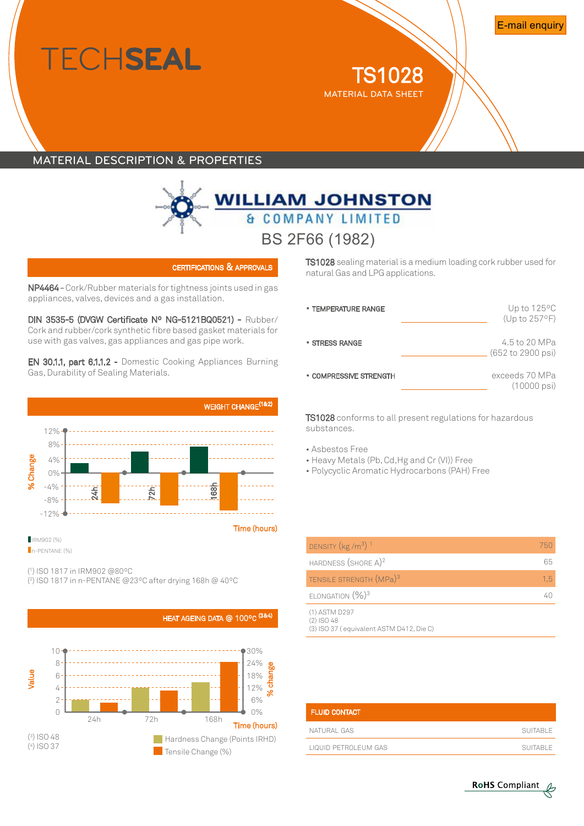# **ECHSEAL**

**TS1028** material DATA sheet

## Material description & properties



certifications & approvals

NP4464-Cork/Rubber materials fortightness joints used in gas appliances, valves, devices and a gas installation.

DIN 3535-5 (DVGW Certificate Nº NG-5121BQ0521) - Rubber/ Cork and rubber/cork synthetic fibre based gasket materials for use with gas valves, gas appliances and gas pipe work.

EN 30.1.1, part 6.1.1.2 - Domestic Cooking Appliances Burning Gas,Durability of Sealing Materials.



( 1 ) iso 1817 in IRM902 @80ºC

( 2 ) iso 1817 in n-PENTANE @23ºC after drying 168h @ 40ºC



TS 1028 sealing material is a medium loading cork rubber used for natural Gas and LPG applications.

| • TEMPERATURE RANGE    | Up to $125^{\circ}$ C<br>(Up to 257°F)   |
|------------------------|------------------------------------------|
| • STRESS RANGE         | 4.5 to 20 MPa<br>(652 to 2900 psi)       |
| • COMPRESSIVE STRENGTH | exceeds 70 MPa<br>$(10000 \,\text{psi})$ |

TS1028 conforms to all present regulations for hazardous substances.

- Asbestos Free
- Heavy Metals (Pb, Cd,Hg and Cr (VI)) Free
- Polycyclic Aromatic Hydrocarbons (PAH) Free

| DENSITY $(kg/m3)1$                                                        | 750 |
|---------------------------------------------------------------------------|-----|
| HARDNESS $(SHORE A)^2$                                                    | 65  |
| TENSILE STRENGTH (MPa) <sup>3</sup>                                       | 1,5 |
| ELONGATION $(\%)^3$                                                       | 41  |
| (1) ASTM D297<br>$(2)$ ISO 48<br>(3) ISO 37 (equivalent ASTM D412, Die C) |     |

| <b>FLUID CONTACT</b> |          |
|----------------------|----------|
| NATURAI GAS          | SUITABLE |
| LIQUID PETROLEUM GAS | SUITABLE |